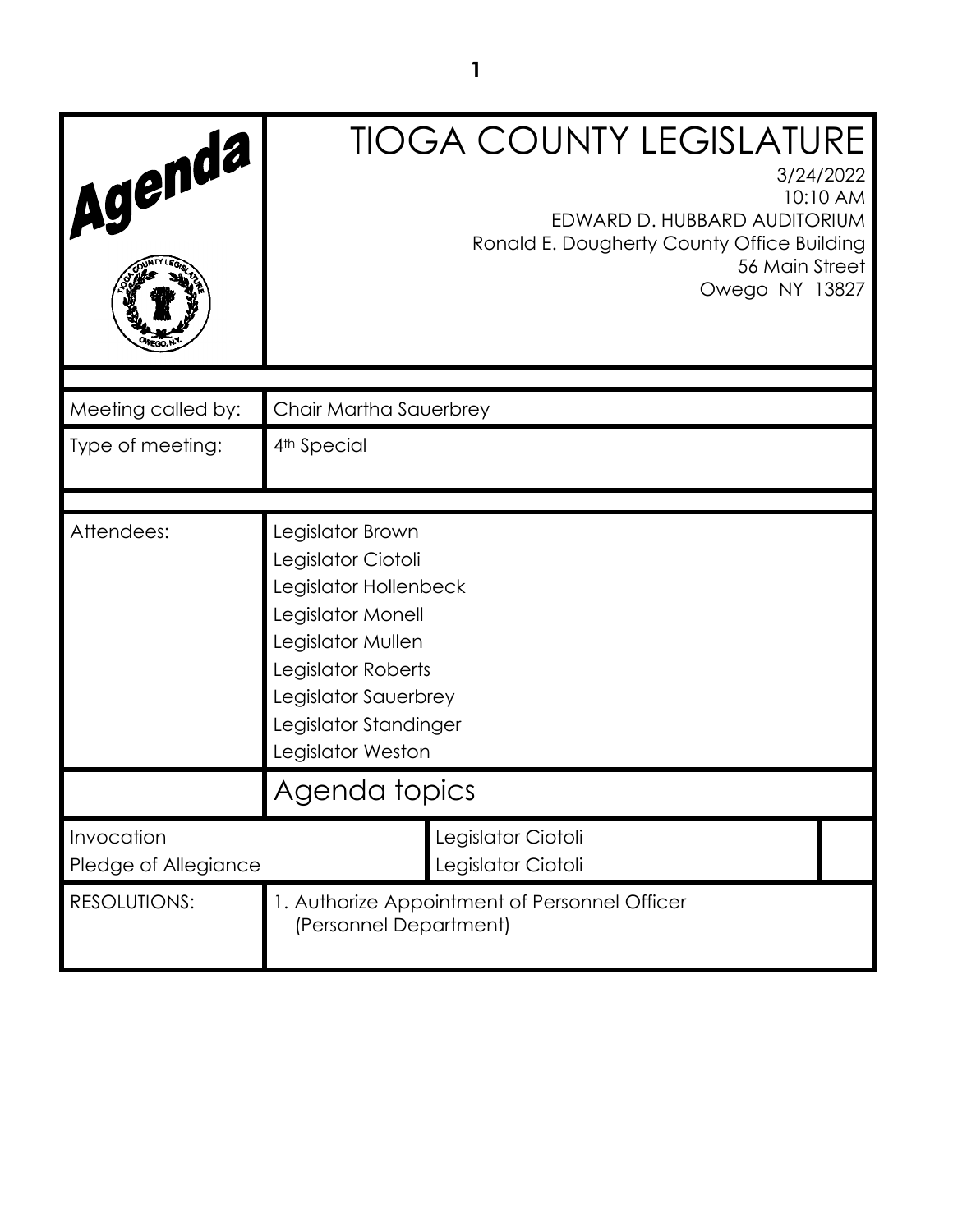| Agenda                             |                                                                                                                                                                                                       | <b>TIOGA COUNTY LEGISLATURE</b><br>3/24/2022<br>10:10 AM<br>EDWARD D. HUBBARD AUDITORIUM<br>Ronald E. Dougherty County Office Building<br>56 Main Street<br>Owego NY 13827 |
|------------------------------------|-------------------------------------------------------------------------------------------------------------------------------------------------------------------------------------------------------|----------------------------------------------------------------------------------------------------------------------------------------------------------------------------|
| Meeting called by:                 | Chair Martha Sauerbrey                                                                                                                                                                                |                                                                                                                                                                            |
| Type of meeting:                   | 4 <sup>th</sup> Special                                                                                                                                                                               |                                                                                                                                                                            |
| Attendees:                         | Legislator Brown<br>Legislator Ciotoli<br>Legislator Hollenbeck<br>Legislator Monell<br>Legislator Mullen<br>Legislator Roberts<br>Legislator Sauerbrey<br>Legislator Standinger<br>Legislator Weston |                                                                                                                                                                            |
|                                    | Agenda topics                                                                                                                                                                                         |                                                                                                                                                                            |
| Invocation<br>Pledge of Allegiance |                                                                                                                                                                                                       | Legislator Ciotoli<br>Legislator Ciotoli                                                                                                                                   |
| <b>RESOLUTIONS:</b>                | 1. Authorize Appointment of Personnel Officer<br>(Personnel Department)                                                                                                                               |                                                                                                                                                                            |